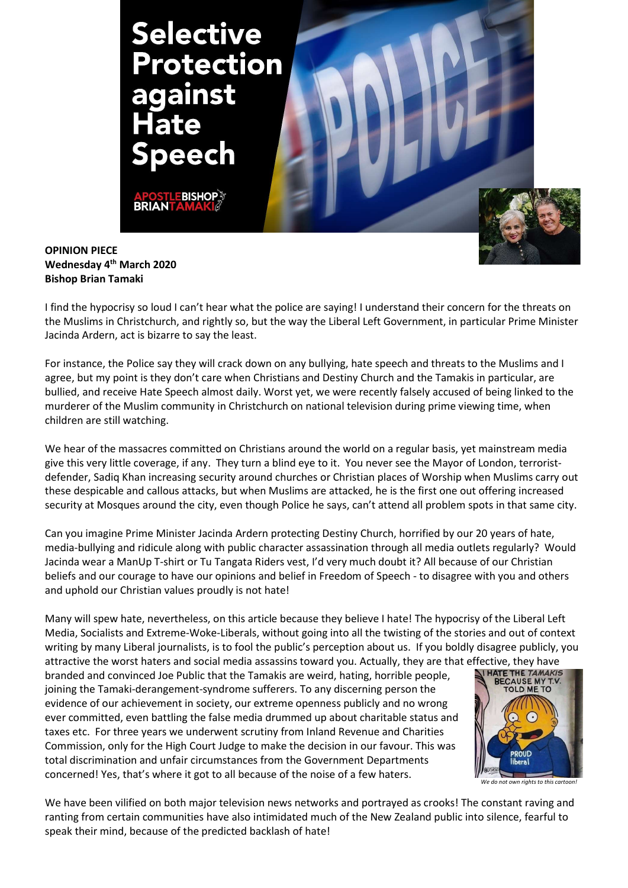

OPINION PIECE Wednesday 4<sup>th</sup> March 2020 Bishop Brian Tamaki

I find the hypocrisy so loud I can't hear what the police are saying! I understand their concern for the threats on the Muslims in Christchurch, and rightly so, but the way the Liberal Left Government, in particular Prime Minister Jacinda Ardern, act is bizarre to say the least.

For instance, the Police say they will crack down on any bullying, hate speech and threats to the Muslims and I agree, but my point is they don't care when Christians and Destiny Church and the Tamakis in particular, are bullied, and receive Hate Speech almost daily. Worst yet, we were recently falsely accused of being linked to the murderer of the Muslim community in Christchurch on national television during prime viewing time, when children are still watching.

We hear of the massacres committed on Christians around the world on a regular basis, yet mainstream media give this very little coverage, if any. They turn a blind eye to it. You never see the Mayor of London, terroristdefender, Sadiq Khan increasing security around churches or Christian places of Worship when Muslims carry out these despicable and callous attacks, but when Muslims are attacked, he is the first one out offering increased security at Mosques around the city, even though Police he says, can't attend all problem spots in that same city.

Can you imagine Prime Minister Jacinda Ardern protecting Destiny Church, horrified by our 20 years of hate, media-bullying and ridicule along with public character assassination through all media outlets regularly? Would Jacinda wear a ManUp T-shirt or Tu Tangata Riders vest, I'd very much doubt it? All because of our Christian beliefs and our courage to have our opinions and belief in Freedom of Speech - to disagree with you and others and uphold our Christian values proudly is not hate!

Many will spew hate, nevertheless, on this article because they believe I hate! The hypocrisy of the Liberal Left Media, Socialists and Extreme-Woke-Liberals, without going into all the twisting of the stories and out of context writing by many Liberal journalists, is to fool the public's perception about us. If you boldly disagree publicly, you attractive the worst haters and social media assassins toward you. Actually, they are that effective, they have<br>harded and convinced loo Bublic that the Tamakis are word, bating, borrible neople

branded and convinced Joe Public that the Tamakis are weird, hating, horrible people, joining the Tamaki-derangement-syndrome sufferers. To any discerning person the evidence of our achievement in society, our extreme openness publicly and no wrong ever committed, even battling the false media drummed up about charitable status and taxes etc. For three years we underwent scrutiny from Inland Revenue and Charities Commission, only for the High Court Judge to make the decision in our favour. This was total discrimination and unfair circumstances from the Government Departments concerned! Yes, that's where it got to all because of the noise of a few haters.



We do not own rights to this cartoon

We have been vilified on both major television news networks and portrayed as crooks! The constant raving and ranting from certain communities have also intimidated much of the New Zealand public into silence, fearful to speak their mind, because of the predicted backlash of hate!